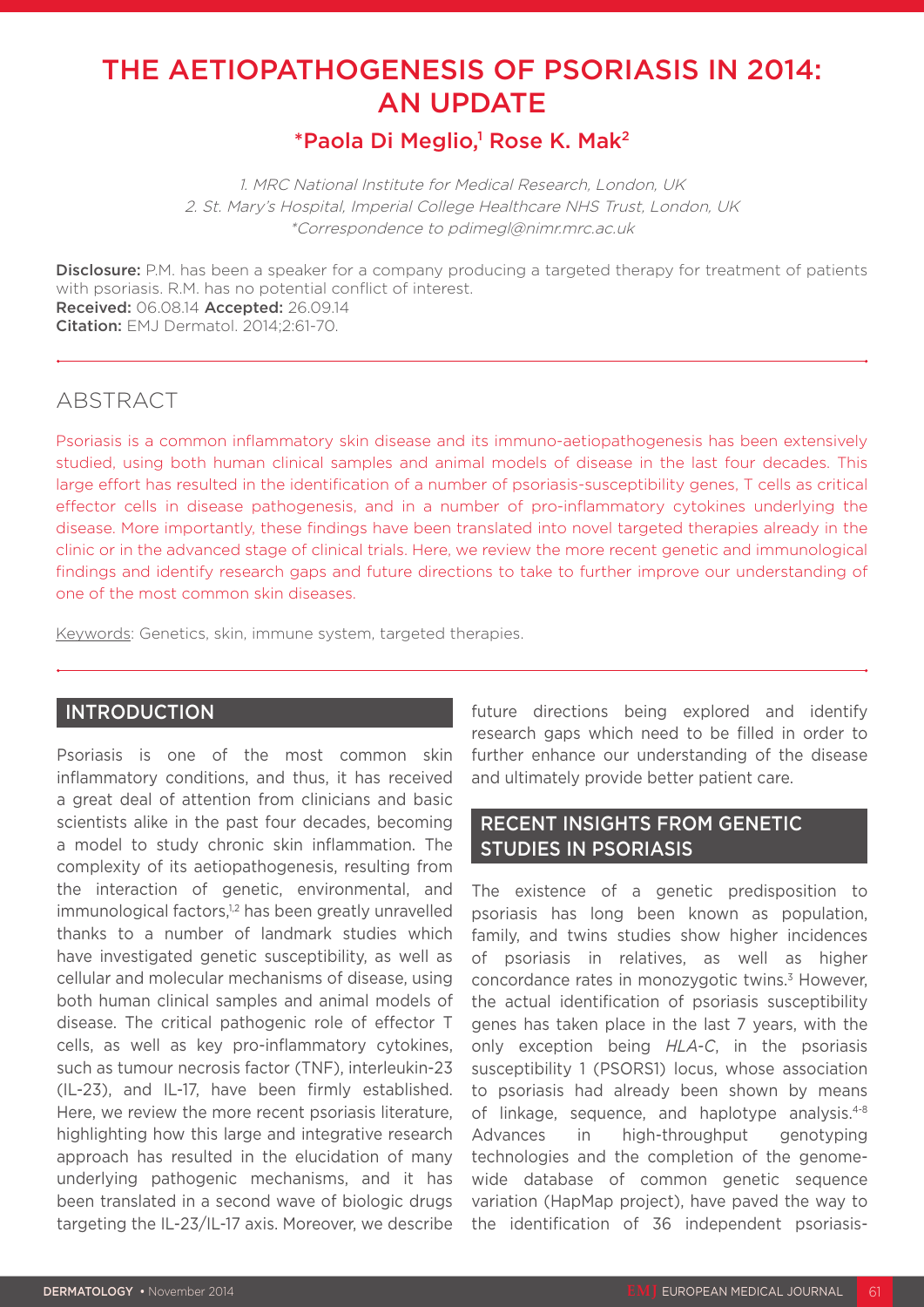# THE AETIOPATHOGENESIS OF PSORIASIS IN 2014: AN UPDATE

# $^*$ Paola Di Meglio,<sup>1</sup> Rose K. Mak<sup>2</sup>

1. MRC National Institute for Medical Research, London, UK 2. St. Mary's Hospital, Imperial College Healthcare NHS Trust, London, UK \*Correspondence to pdimegl@nimr.mrc.ac.uk

**Disclosure:** P.M. has been a speaker for a company producing a targeted therapy for treatment of patients with psoriasis. R.M. has no potential conflict of interest. Received: 06.08.14 Accepted: 26.09.14 Citation: EMJ Dermatol. 2014;2:61-70.

# ABSTRACT

Psoriasis is a common inflammatory skin disease and its immuno-aetiopathogenesis has been extensively studied, using both human clinical samples and animal models of disease in the last four decades. This large effort has resulted in the identification of a number of psoriasis-susceptibility genes, T cells as critical effector cells in disease pathogenesis, and in a number of pro-inflammatory cytokines underlying the disease. More importantly, these findings have been translated into novel targeted therapies already in the clinic or in the advanced stage of clinical trials. Here, we review the more recent genetic and immunological findings and identify research gaps and future directions to take to further improve our understanding of one of the most common skin diseases.

Keywords: Genetics, skin, immune system, targeted therapies.

### INTRODUCTION

Psoriasis is one of the most common skin inflammatory conditions, and thus, it has received a great deal of attention from clinicians and basic scientists alike in the past four decades, becoming a model to study chronic skin inflammation. The complexity of its aetiopathogenesis, resulting from the interaction of genetic, environmental, and immunological factors,<sup>1,2</sup> has been greatly unravelled thanks to a number of landmark studies which have investigated genetic susceptibility, as well as cellular and molecular mechanisms of disease, using both human clinical samples and animal models of disease. The critical pathogenic role of effector T cells, as well as key pro-inflammatory cytokines, such as tumour necrosis factor (TNF), interleukin-23 (IL-23), and IL-17, have been firmly established. Here, we review the more recent psoriasis literature, highlighting how this large and integrative research approach has resulted in the elucidation of many underlying pathogenic mechanisms, and it has been translated in a second wave of biologic drugs targeting the IL-23/IL-17 axis. Moreover, we describe future directions being explored and identify research gaps which need to be filled in order to further enhance our understanding of the disease and ultimately provide better patient care.

### RECENT INSIGHTS FROM GENETIC STUDIES IN PSORIASIS

The existence of a genetic predisposition to psoriasis has long been known as population, family, and twins studies show higher incidences of psoriasis in relatives, as well as higher concordance rates in monozygotic twins.3 However, the actual identification of psoriasis susceptibility genes has taken place in the last 7 years, with the only exception being *HLA-C*, in the psoriasis susceptibility 1 (PSORS1) locus, whose association to psoriasis had already been shown by means of linkage, sequence, and haplotype analysis.4-8 Advances in high-throughput genotyping technologies and the completion of the genomewide database of common genetic sequence variation (HapMap project), have paved the way to the identification of 36 independent psoriasis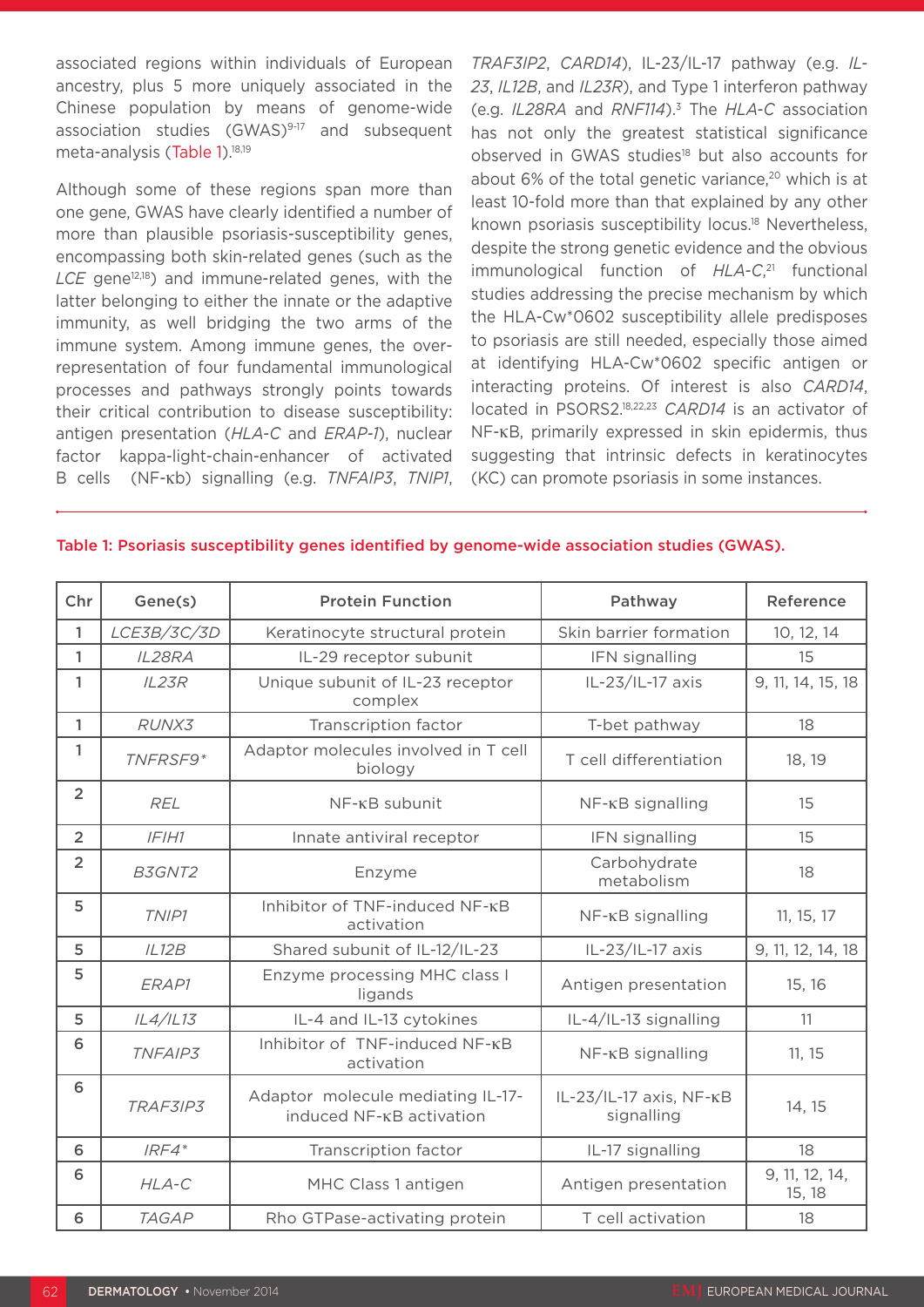associated regions within individuals of European ancestry, plus 5 more uniquely associated in the Chinese population by means of genome-wide association studies (GWAS)<sup>9-17</sup> and subsequent meta-analysis (Table 1).<sup>18,19</sup>

Although some of these regions span more than one gene, GWAS have clearly identified a number of more than plausible psoriasis-susceptibility genes, encompassing both skin-related genes (such as the LCE gene<sup>12,18</sup>) and immune-related genes, with the latter belonging to either the innate or the adaptive immunity, as well bridging the two arms of the immune system. Among immune genes, the overrepresentation of four fundamental immunological processes and pathways strongly points towards their critical contribution to disease susceptibility: antigen presentation (*HLA-C* and *ERAP-1*), nuclear factor kappa-light-chain-enhancer of activated B cells (NF-κb) signalling (e.g. *TNFAIP3*, *TNIP1*,

*TRAF3IP2*, *CARD14*), IL-23/IL-17 pathway (e.g. *IL-23*, *IL12B*, and *IL23R*), and Type 1 interferon pathway (e.g. *IL28RA* and *RNF114*).3 The *HLA-C* association has not only the greatest statistical significance observed in GWAS studies<sup>18</sup> but also accounts for about 6% of the total genetic variance, $20$  which is at least 10-fold more than that explained by any other known psoriasis susceptibility locus.<sup>18</sup> Nevertheless, despite the strong genetic evidence and the obvious immunological function of *HLA-C*, 21 functional studies addressing the precise mechanism by which the HLA-Cw\*0602 susceptibility allele predisposes to psoriasis are still needed, especially those aimed at identifying HLA-Cw\*0602 specific antigen or interacting proteins. Of interest is also *CARD14*, located in PSORS2.18,22,23 *CARD14* is an activator of NF-κB, primarily expressed in skin epidermis, thus suggesting that intrinsic defects in keratinocytes (KC) can promote psoriasis in some instances.

#### Table 1: Psoriasis susceptibility genes identified by genome-wide association studies (GWAS).

| Chr            | Gene(s)      | <b>Protein Function</b>                                       | Pathway                               | Reference                |
|----------------|--------------|---------------------------------------------------------------|---------------------------------------|--------------------------|
| 1              | LCE3B/3C/3D  | Keratinocyte structural protein                               | Skin barrier formation                | 10, 12, 14               |
| 1              | IL28RA       | IL-29 receptor subunit                                        | IFN signalling                        | 15                       |
| 1              | IL23R        | Unique subunit of IL-23 receptor<br>complex                   | IL-23/IL-17 axis                      | 9, 11, 14, 15, 18        |
| 1              | RUNX3        | Transcription factor                                          | T-bet pathway                         | 18                       |
| 1              | TNFRSF9*     | Adaptor molecules involved in T cell<br>biology               | T cell differentiation                | 18, 19                   |
| $\overline{2}$ | <b>REL</b>   | NF-KB subunit                                                 | NF-KB signalling                      | 15                       |
| $\overline{2}$ | IFHH1        | Innate antiviral receptor                                     | IFN signalling                        | 15                       |
| $\overline{2}$ | B3GNT2       | Enzyme                                                        | Carbohydrate<br>metabolism            | 18                       |
| 5              | TNIP1        | Inhibitor of TNF-induced NF-KB<br>activation                  | $NF$ - $\kappa$ B signalling          | 11, 15, 17               |
| 5              | IL12B        | Shared subunit of IL-12/IL-23                                 | IL-23/IL-17 axis                      | 9, 11, 12, 14, 18        |
| 5              | ERAP1        | Enzyme processing MHC class I<br>ligands                      | Antigen presentation                  | 15, 16                   |
| 5              | IL4/IL13     | IL-4 and IL-13 cytokines                                      | IL-4/IL-13 signalling                 | 11                       |
| 6              | TNFAIP3      | Inhibitor of TNF-induced NF-KB<br>activation                  | NF-KB signalling                      | 11, 15                   |
| 6              | TRAF3IP3     | Adaptor molecule mediating IL-17-<br>induced NF-KB activation | IL-23/IL-17 axis, NF-KB<br>signalling | 14, 15                   |
| 6              | $IRF4*$      | Transcription factor                                          | IL-17 signalling                      | 18                       |
| 6              | HLA-C        | MHC Class 1 antigen                                           | Antigen presentation                  | 9, 11, 12, 14,<br>15, 18 |
| 6              | <b>TAGAP</b> | Rho GTPase-activating protein                                 | T cell activation                     | 18                       |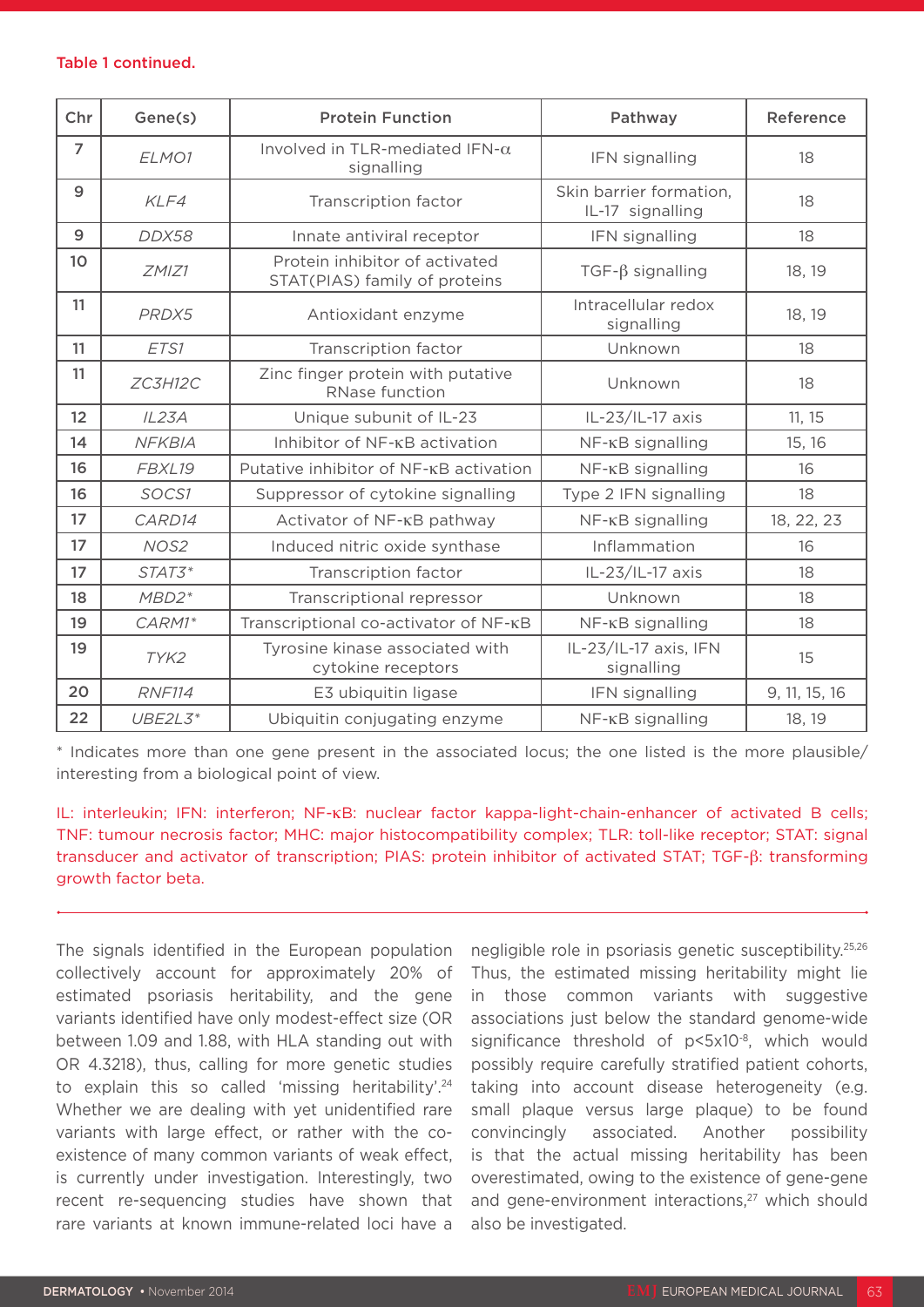#### Table 1 continued.

| Chr             | Gene(s)       | <b>Protein Function</b>                                         | Pathway                                     | Reference     |
|-----------------|---------------|-----------------------------------------------------------------|---------------------------------------------|---------------|
| $\overline{7}$  | ELMO1         | Involved in TLR-mediated IFN- $\alpha$<br>signalling            | IFN signalling                              | 18            |
| 9               | KLF4          | Transcription factor                                            | Skin barrier formation,<br>IL-17 signalling | 18            |
| 9               | DDX58         | Innate antiviral receptor                                       | IFN signalling                              | 18            |
| 10 <sup>°</sup> | ZMIZ1         | Protein inhibitor of activated<br>STAT(PIAS) family of proteins | $TGF-\beta$ signalling                      | 18, 19        |
| 11              | PRDX5         | Antioxidant enzyme                                              | Intracellular redox<br>signalling           | 18, 19        |
| 11              | ETS1          | Transcription factor                                            | Unknown                                     | 18            |
| 11              | ZC3H12C       | Zinc finger protein with putative<br>RNase function             | Unknown                                     | 18            |
| 12              | IL23A         | Unique subunit of IL-23                                         | IL-23/IL-17 axis                            | 11, 15        |
| 14              | <b>NFKBIA</b> | Inhibitor of NF-KB activation                                   | NF-KB signalling                            | 15, 16        |
| 16              | FBXL19        | Putative inhibitor of NF-KB activation                          | NF-KB signalling                            | 16            |
| 16              | SOCS1         | Suppressor of cytokine signalling                               | Type 2 IFN signalling                       | 18            |
| 17              | CARD14        | Activator of NF-KB pathway                                      | NF-KB signalling                            | 18, 22, 23    |
| 17              | NOS2          | Induced nitric oxide synthase                                   | Inflammation                                | 16            |
| 17              | STAT3*        | Transcription factor                                            | IL-23/IL-17 axis                            | 18            |
| 18              | $MBD2*$       | Transcriptional repressor                                       | Unknown                                     | 18            |
| 19              | CARM1*        | Transcriptional co-activator of NF-KB                           | NF-KB signalling                            | 18            |
| 19              | TYK2          | Tyrosine kinase associated with<br>cytokine receptors           | IL-23/IL-17 axis, IFN<br>signalling         | 15            |
| 20              | <b>RNF114</b> | E3 ubiquitin ligase                                             | IFN signalling                              | 9, 11, 15, 16 |
| 22              | $UBE2L3*$     | Ubiquitin conjugating enzyme                                    | NF-KB signalling                            | 18, 19        |

\* Indicates more than one gene present in the associated locus; the one listed is the more plausible/ interesting from a biological point of view.

### IL: interleukin; IFN: interferon; NF-κB: nuclear factor kappa-light-chain-enhancer of activated B cells; TNF: tumour necrosis factor; MHC: major histocompatibility complex; TLR: toll-like receptor; STAT: signal transducer and activator of transcription; PIAS: protein inhibitor of activated STAT; TGF-β: transforming growth factor beta.

The signals identified in the European population collectively account for approximately 20% of estimated psoriasis heritability, and the gene variants identified have only modest-effect size (OR between 1.09 and 1.88, with HLA standing out with OR 4.3218), thus, calling for more genetic studies to explain this so called 'missing heritability'.<sup>24</sup> Whether we are dealing with yet unidentified rare variants with large effect, or rather with the coexistence of many common variants of weak effect, is currently under investigation. Interestingly, two recent re-sequencing studies have shown that rare variants at known immune-related loci have a

negligible role in psoriasis genetic susceptibility.25,26 Thus, the estimated missing heritability might lie in those common variants with suggestive associations just below the standard genome-wide significance threshold of p<5x10<sup>-8</sup>, which would possibly require carefully stratified patient cohorts, taking into account disease heterogeneity (e.g. small plaque versus large plaque) to be found convincingly associated. Another possibility is that the actual missing heritability has been overestimated, owing to the existence of gene-gene and gene-environment interactions,<sup>27</sup> which should also be investigated.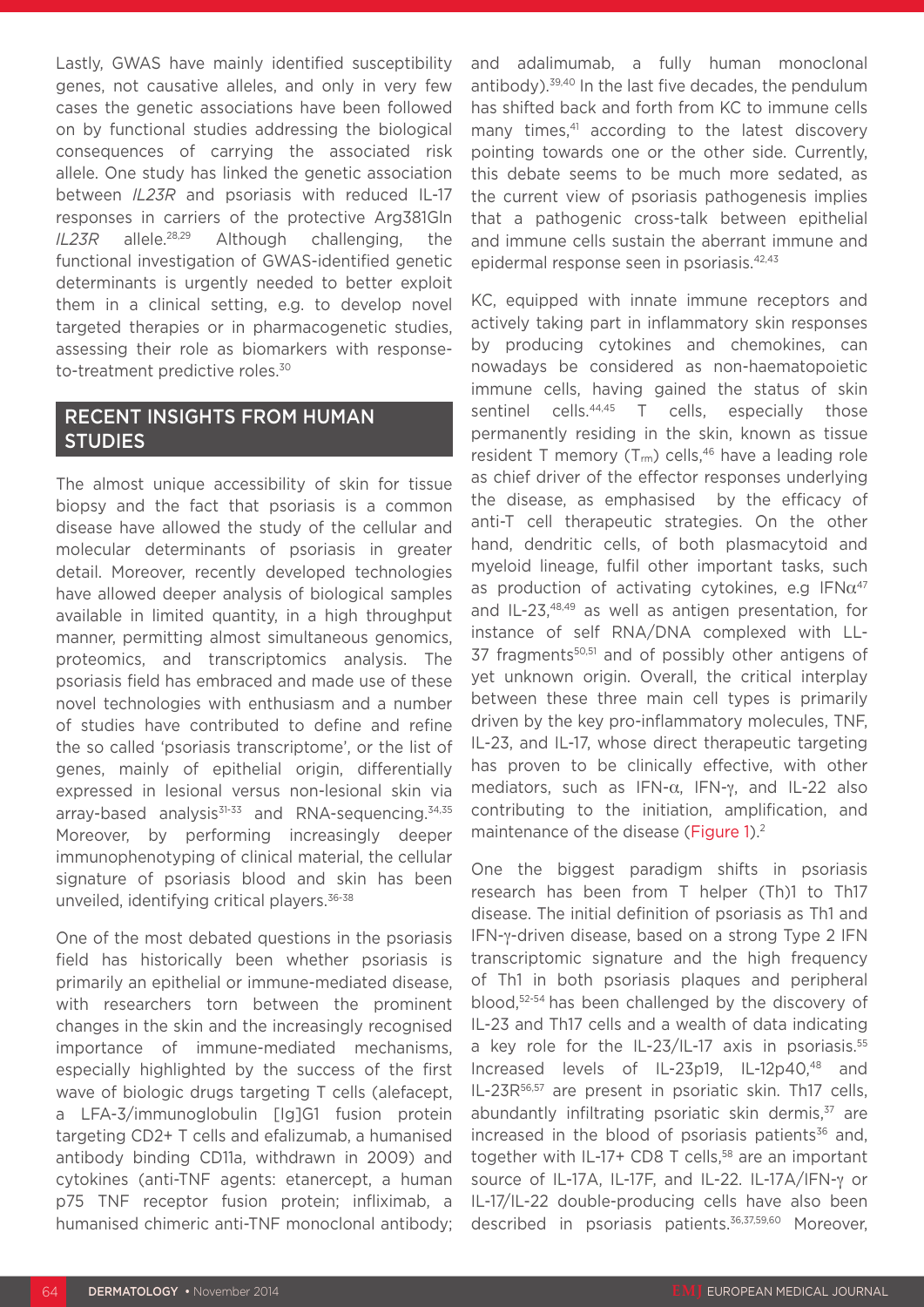Lastly, GWAS have mainly identified susceptibility genes, not causative alleles, and only in very few cases the genetic associations have been followed on by functional studies addressing the biological consequences of carrying the associated risk allele. One study has linked the genetic association between *IL23R* and psoriasis with reduced IL-17 responses in carriers of the protective Arg381Gln *IL23R* allele.28,29 Although challenging, the functional investigation of GWAS-identified genetic determinants is urgently needed to better exploit them in a clinical setting, e.g. to develop novel targeted therapies or in pharmacogenetic studies, assessing their role as biomarkers with responseto-treatment predictive roles.<sup>30</sup>

# RECENT INSIGHTS FROM HUMAN STUDIES

The almost unique accessibility of skin for tissue biopsy and the fact that psoriasis is a common disease have allowed the study of the cellular and molecular determinants of psoriasis in greater detail. Moreover, recently developed technologies have allowed deeper analysis of biological samples available in limited quantity, in a high throughput manner, permitting almost simultaneous genomics, proteomics, and transcriptomics analysis. The psoriasis field has embraced and made use of these novel technologies with enthusiasm and a number of studies have contributed to define and refine the so called 'psoriasis transcriptome', or the list of genes, mainly of epithelial origin, differentially expressed in lesional versus non-lesional skin via array-based analysis $31-33$  and RNA-sequencing.  $34,35$ Moreover, by performing increasingly deeper immunophenotyping of clinical material, the cellular signature of psoriasis blood and skin has been unveiled, identifying critical players.36-38

One of the most debated questions in the psoriasis field has historically been whether psoriasis is primarily an epithelial or immune-mediated disease, with researchers torn between the prominent changes in the skin and the increasingly recognised importance of immune-mediated mechanisms, especially highlighted by the success of the first wave of biologic drugs targeting T cells (alefacept, a LFA-3/immunoglobulin [Ig]G1 fusion protein targeting CD2+ T cells and efalizumab, a humanised antibody binding CD11a, withdrawn in 2009) and cytokines (anti-TNF agents: etanercept, a human p75 TNF receptor fusion protein; infliximab, a humanised chimeric anti-TNF monoclonal antibody;

and adalimumab, a fully human monoclonal antibody).39,40 In the last five decades, the pendulum has shifted back and forth from KC to immune cells many times,<sup>41</sup> according to the latest discovery pointing towards one or the other side. Currently, this debate seems to be much more sedated, as the current view of psoriasis pathogenesis implies that a pathogenic cross-talk between epithelial and immune cells sustain the aberrant immune and epidermal response seen in psoriasis.42,43

KC, equipped with innate immune receptors and actively taking part in inflammatory skin responses by producing cytokines and chemokines, can nowadays be considered as non-haematopoietic immune cells, having gained the status of skin sentinel cells.<sup>44,45</sup> T cells, especially those permanently residing in the skin, known as tissue resident T memory  $(T_{rm}$ ) cells,<sup>46</sup> have a leading role as chief driver of the effector responses underlying the disease, as emphasised by the efficacy of anti-T cell therapeutic strategies. On the other hand, dendritic cells, of both plasmacytoid and myeloid lineage, fulfil other important tasks, such as production of activating cytokines, e.g  $IFN<sub>α</sub><sup>47</sup>$ and IL-23,<sup>48,49</sup> as well as antigen presentation, for instance of self RNA/DNA complexed with LL-37 fragments<sup>50,51</sup> and of possibly other antigens of yet unknown origin. Overall, the critical interplay between these three main cell types is primarily driven by the key pro-inflammatory molecules, TNF, IL-23, and IL-17, whose direct therapeutic targeting has proven to be clinically effective, with other mediators, such as IFN-α, IFN-γ, and IL-22 also contributing to the initiation, amplification, and maintenance of the disease (Figure 1).<sup>2</sup>

One the biggest paradigm shifts in psoriasis research has been from T helper (Th)1 to Th17 disease. The initial definition of psoriasis as Th1 and IFN-γ-driven disease, based on a strong Type 2 IFN transcriptomic signature and the high frequency of Th1 in both psoriasis plaques and peripheral blood,52-54 has been challenged by the discovery of IL-23 and Th17 cells and a wealth of data indicating a key role for the IL-23/IL-17 axis in psoriasis.<sup>55</sup> Increased levels of IL-23p19, IL-12p40,48 and IL-23R<sup>56,57</sup> are present in psoriatic skin. Th17 cells, abundantly infiltrating psoriatic skin dermis.<sup>37</sup> are increased in the blood of psoriasis patients $36$  and, together with IL-17+ CD8 T cells, $58$  are an important source of IL-17A, IL-17F, and IL-22. IL-17A/IFN-γ or IL-17/IL-22 double-producing cells have also been described in psoriasis patients.<sup>36,37,59,60</sup> Moreover,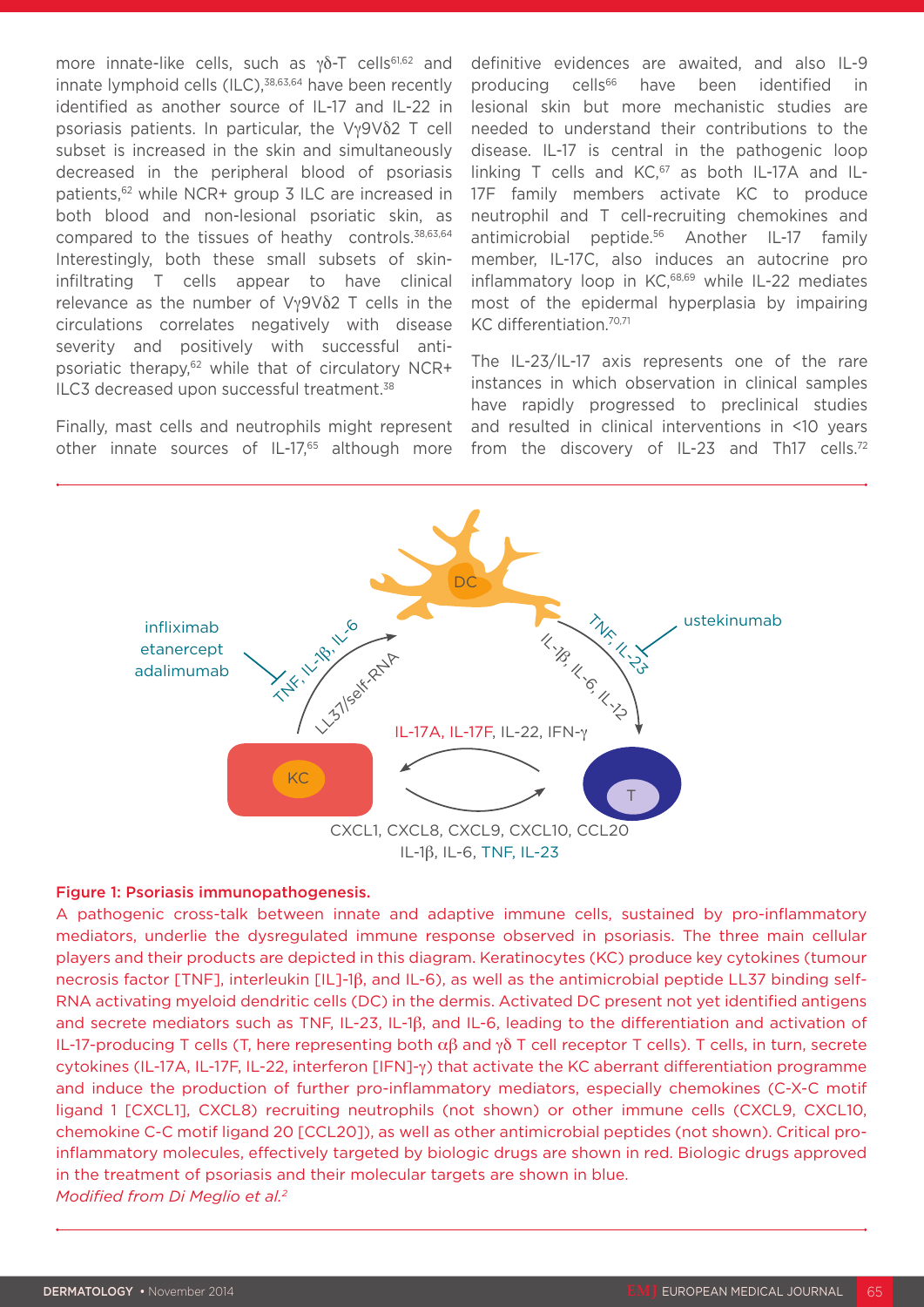more innate-like cells, such as γδ-T cells<sup>61,62</sup> and innate lymphoid cells (ILC),<sup>38,63,64</sup> have been recently identified as another source of IL-17 and IL-22 in psoriasis patients. In particular, the Vγ9Vδ2 T cell subset is increased in the skin and simultaneously decreased in the peripheral blood of psoriasis patients,<sup>62</sup> while NCR+ group 3 ILC are increased in both blood and non-lesional psoriatic skin, as compared to the tissues of heathy controls.38,63,64 Interestingly, both these small subsets of skininfiltrating T cells appear to have clinical relevance as the number of Vγ9Vδ2 T cells in the circulations correlates negatively with disease severity and positively with successful antipsoriatic therapy,62 while that of circulatory NCR+ ILC3 decreased upon successful treatment.<sup>38</sup>

Finally, mast cells and neutrophils might represent other innate sources of IL-17,<sup>65</sup> although more

definitive evidences are awaited, and also IL-9 producing cells<sup>66</sup> have been identified in lesional skin but more mechanistic studies are needed to understand their contributions to the disease. IL-17 is central in the pathogenic loop linking T cells and  $KC$ ,  $67$  as both IL-17A and IL-17F family members activate KC to produce neutrophil and T cell-recruiting chemokines and antimicrobial peptide.56 Another IL-17 family member, IL-17C, also induces an autocrine pro inflammatory loop in KC,<sup>68,69</sup> while IL-22 mediates most of the epidermal hyperplasia by impairing KC differentiation.70,71

The IL-23/IL-17 axis represents one of the rare instances in which observation in clinical samples have rapidly progressed to preclinical studies and resulted in clinical interventions in <10 years from the discovery of IL-23 and Th17 cells.<sup>72</sup>



#### Figure 1: Psoriasis immunopathogenesis.

A pathogenic cross-talk between innate and adaptive immune cells, sustained by pro-inflammatory mediators, underlie the dysregulated immune response observed in psoriasis. The three main cellular players and their products are depicted in this diagram. Keratinocytes (KC) produce key cytokines (tumour necrosis factor [TNF], interleukin [IL]-1β, and IL-6), as well as the antimicrobial peptide LL37 binding self-RNA activating myeloid dendritic cells (DC) in the dermis. Activated DC present not yet identified antigens and secrete mediators such as TNF, IL-23, IL-1β, and IL-6, leading to the differentiation and activation of IL-17-producing T cells (T, here representing both  $\alpha\beta$  and γδ T cell receptor T cells). T cells, in turn, secrete cytokines (IL-17A, IL-17F, IL-22, interferon [IFN]-γ) that activate the KC aberrant differentiation programme and induce the production of further pro-inflammatory mediators, especially chemokines (C-X-C motif ligand 1 [CXCL1], CXCL8) recruiting neutrophils (not shown) or other immune cells (CXCL9, CXCL10, chemokine C-C motif ligand 20 [CCL20]), as well as other antimicrobial peptides (not shown). Critical proinflammatory molecules, effectively targeted by biologic drugs are shown in red. Biologic drugs approved in the treatment of psoriasis and their molecular targets are shown in blue. *Modified from Di Meglio et al.2*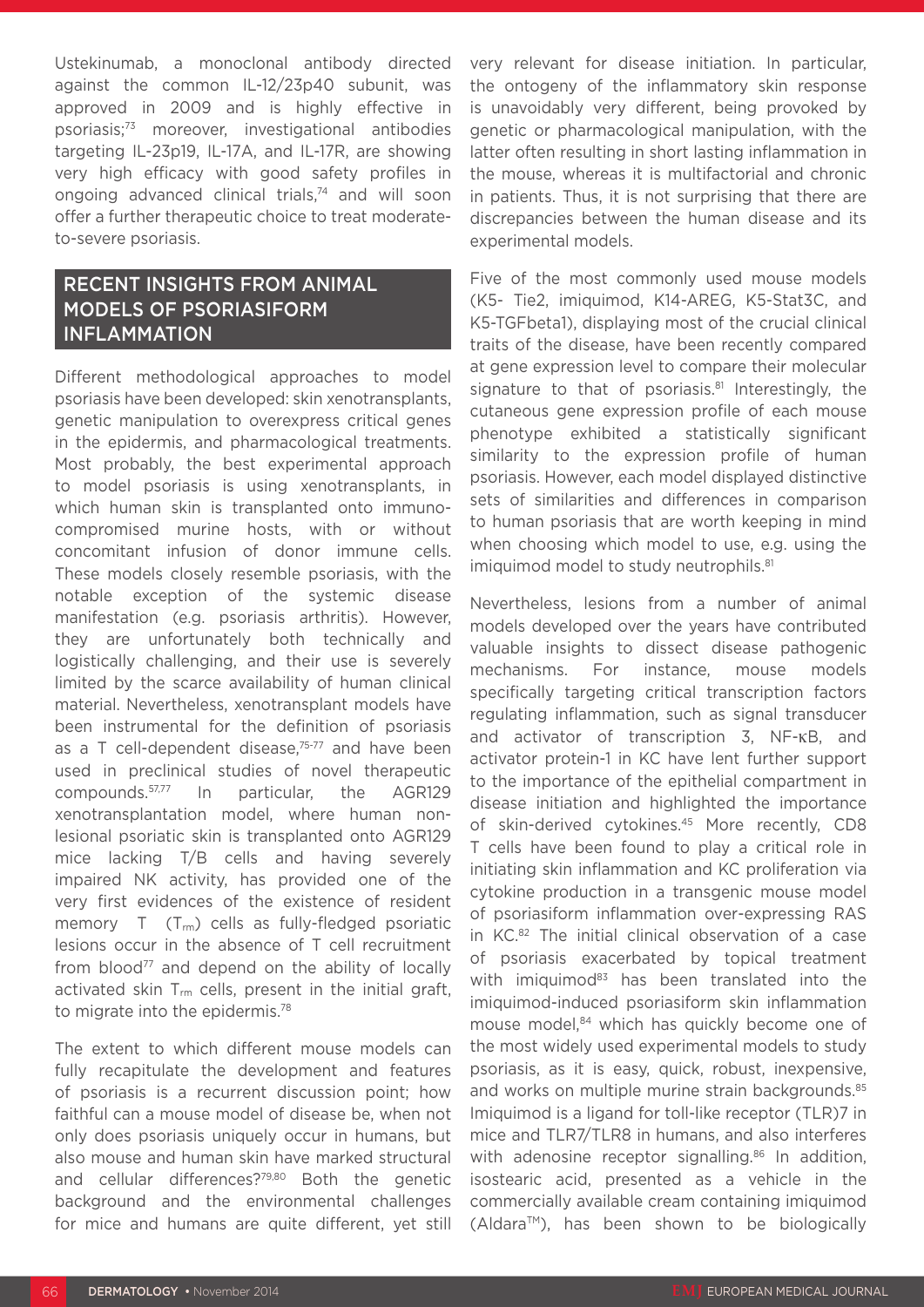Ustekinumab, a monoclonal antibody directed against the common IL-12/23p40 subunit, was approved in 2009 and is highly effective in psoriasis;73 moreover, investigational antibodies targeting IL-23p19, IL-17A, and IL-17R, are showing very high efficacy with good safety profiles in ongoing advanced clinical trials,<sup>74</sup> and will soon offer a further therapeutic choice to treat moderateto-severe psoriasis.

# RECENT INSIGHTS FROM ANIMAL MODELS OF PSORIASIFORM INFLAMMATION

Different methodological approaches to model psoriasis have been developed: skin xenotransplants, genetic manipulation to overexpress critical genes in the epidermis, and pharmacological treatments. Most probably, the best experimental approach to model psoriasis is using xenotransplants, in which human skin is transplanted onto immunocompromised murine hosts, with or without concomitant infusion of donor immune cells. These models closely resemble psoriasis, with the notable exception of the systemic disease manifestation (e.g. psoriasis arthritis). However, they are unfortunately both technically and logistically challenging, and their use is severely limited by the scarce availability of human clinical material. Nevertheless, xenotransplant models have been instrumental for the definition of psoriasis as a T cell-dependent disease, $75-77$  and have been used in preclinical studies of novel therapeutic compounds.57,77 In particular, the AGR129 xenotransplantation model, where human nonlesional psoriatic skin is transplanted onto AGR129 mice lacking T/B cells and having severely impaired NK activity, has provided one of the very first evidences of the existence of resident memory T (T<sub>rm</sub>) cells as fully-fledged psoriatic lesions occur in the absence of T cell recruitment from blood<sup>77</sup> and depend on the ability of locally activated skin  $T_{rm}$  cells, present in the initial graft, to migrate into the epidermis.<sup>78</sup>

The extent to which different mouse models can fully recapitulate the development and features of psoriasis is a recurrent discussion point; how faithful can a mouse model of disease be, when not only does psoriasis uniquely occur in humans, but also mouse and human skin have marked structural and cellular differences?79,80 Both the genetic background and the environmental challenges for mice and humans are quite different, yet still

very relevant for disease initiation. In particular, the ontogeny of the inflammatory skin response is unavoidably very different, being provoked by genetic or pharmacological manipulation, with the latter often resulting in short lasting inflammation in the mouse, whereas it is multifactorial and chronic in patients. Thus, it is not surprising that there are discrepancies between the human disease and its experimental models.

Five of the most commonly used mouse models (K5- Tie2, imiquimod, K14-AREG, K5-Stat3C, and K5-TGFbeta1), displaying most of the crucial clinical traits of the disease, have been recently compared at gene expression level to compare their molecular signature to that of psoriasis.<sup>81</sup> Interestingly, the cutaneous gene expression profile of each mouse phenotype exhibited a statistically significant similarity to the expression profile of human psoriasis. However, each model displayed distinctive sets of similarities and differences in comparison to human psoriasis that are worth keeping in mind when choosing which model to use, e.g. using the imiquimod model to study neutrophils.<sup>81</sup>

Nevertheless, lesions from a number of animal models developed over the years have contributed valuable insights to dissect disease pathogenic mechanisms. For instance, mouse models specifically targeting critical transcription factors regulating inflammation, such as signal transducer and activator of transcription 3, NF-κB, and activator protein-1 in KC have lent further support to the importance of the epithelial compartment in disease initiation and highlighted the importance of skin-derived cytokines.45 More recently, CD8 T cells have been found to play a critical role in initiating skin inflammation and KC proliferation via cytokine production in a transgenic mouse model of psoriasiform inflammation over-expressing RAS in KC.82 The initial clinical observation of a case of psoriasis exacerbated by topical treatment with imiquimod<sup>83</sup> has been translated into the imiquimod-induced psoriasiform skin inflammation mouse model,<sup>84</sup> which has quickly become one of the most widely used experimental models to study psoriasis, as it is easy, quick, robust, inexpensive, and works on multiple murine strain backgrounds.<sup>85</sup> Imiquimod is a ligand for toll-like receptor (TLR)7 in mice and TLR7/TLR8 in humans, and also interferes with adenosine receptor signalling.<sup>86</sup> In addition, isostearic acid, presented as a vehicle in the commercially available cream containing imiquimod  $(Aldara<sup>TM</sup>)$ , has been shown to be biologically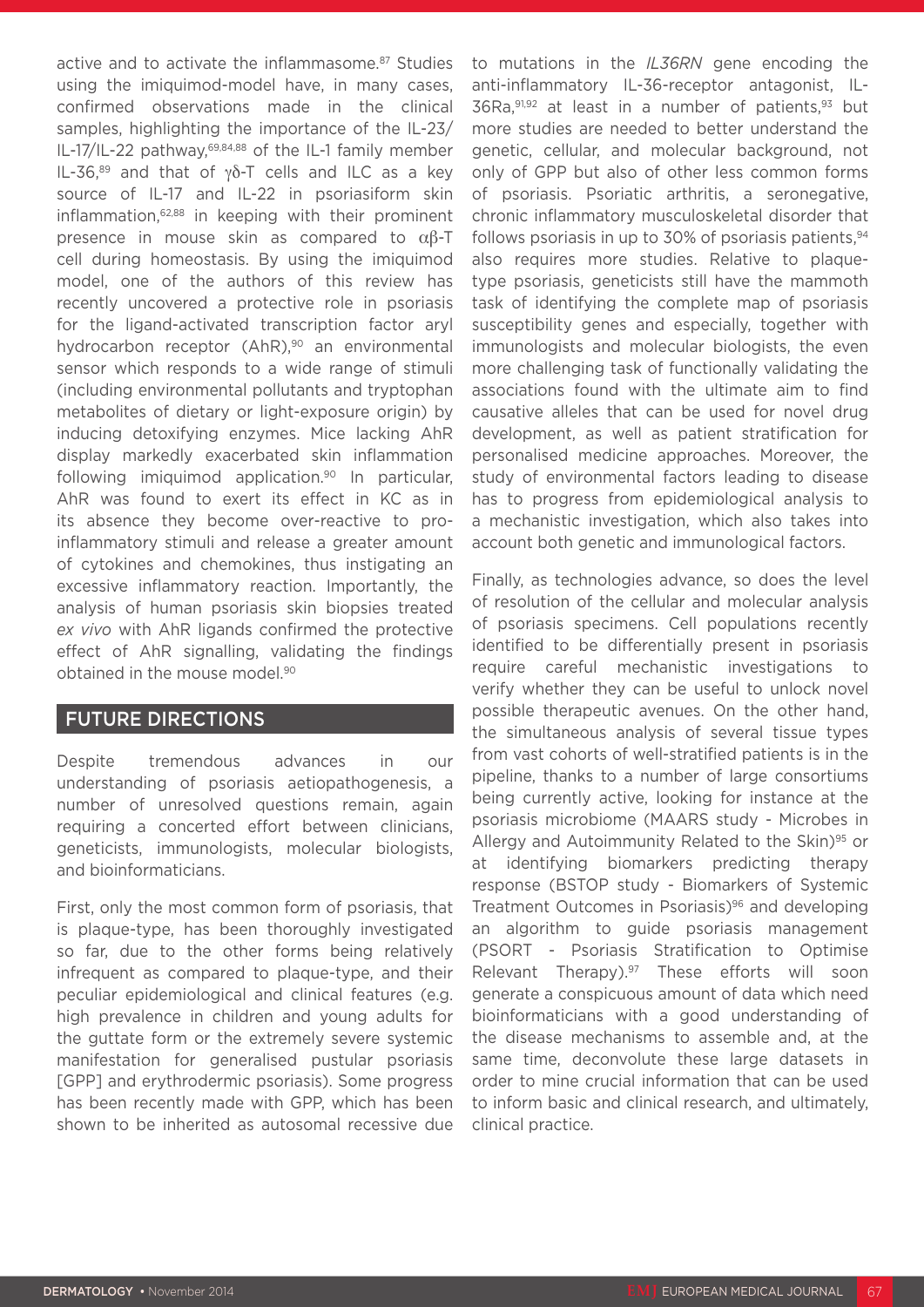active and to activate the inflammasome.<sup>87</sup> Studies using the imiquimod-model have, in many cases, confirmed observations made in the clinical samples, highlighting the importance of the IL-23/ IL-17/IL-22 pathway,69,84,88 of the IL-1 family member IL-36,89 and that of γδ-T cells and ILC as a key source of IL-17 and IL-22 in psoriasiform skin inflammation,62,88 in keeping with their prominent presence in mouse skin as compared to αβ-T cell during homeostasis. By using the imiquimod model, one of the authors of this review has recently uncovered a protective role in psoriasis for the ligand-activated transcription factor aryl hydrocarbon receptor (AhR),<sup>90</sup> an environmental sensor which responds to a wide range of stimuli (including environmental pollutants and tryptophan metabolites of dietary or light-exposure origin) by inducing detoxifying enzymes. Mice lacking AhR display markedly exacerbated skin inflammation following imiquimod application.<sup>90</sup> In particular, AhR was found to exert its effect in KC as in its absence they become over-reactive to proinflammatory stimuli and release a greater amount of cytokines and chemokines, thus instigating an excessive inflammatory reaction. Importantly, the analysis of human psoriasis skin biopsies treated *ex vivo* with AhR ligands confirmed the protective effect of AhR signalling, validating the findings obtained in the mouse model.<sup>90</sup>

### FUTURE DIRECTIONS

Despite tremendous advances in our understanding of psoriasis aetiopathogenesis, a number of unresolved questions remain, again requiring a concerted effort between clinicians, geneticists, immunologists, molecular biologists, and bioinformaticians.

First, only the most common form of psoriasis, that is plaque-type, has been thoroughly investigated so far, due to the other forms being relatively infrequent as compared to plaque-type, and their peculiar epidemiological and clinical features (e.g. high prevalence in children and young adults for the guttate form or the extremely severe systemic manifestation for generalised pustular psoriasis [GPP] and erythrodermic psoriasis). Some progress has been recently made with GPP, which has been shown to be inherited as autosomal recessive due

to mutations in the *IL36RN* gene encoding the anti-inflammatory IL-36-receptor antagonist, IL-36Ra,91,92 at least in a number of patients,93 but more studies are needed to better understand the genetic, cellular, and molecular background, not only of GPP but also of other less common forms of psoriasis. Psoriatic arthritis, a seronegative, chronic inflammatory musculoskeletal disorder that follows psoriasis in up to 30% of psoriasis patients,  $94$ also requires more studies. Relative to plaquetype psoriasis, geneticists still have the mammoth task of identifying the complete map of psoriasis susceptibility genes and especially, together with immunologists and molecular biologists, the even more challenging task of functionally validating the associations found with the ultimate aim to find causative alleles that can be used for novel drug development, as well as patient stratification for personalised medicine approaches. Moreover, the study of environmental factors leading to disease has to progress from epidemiological analysis to a mechanistic investigation, which also takes into account both genetic and immunological factors.

Finally, as technologies advance, so does the level of resolution of the cellular and molecular analysis of psoriasis specimens. Cell populations recently identified to be differentially present in psoriasis require careful mechanistic investigations to verify whether they can be useful to unlock novel possible therapeutic avenues. On the other hand, the simultaneous analysis of several tissue types from vast cohorts of well-stratified patients is in the pipeline, thanks to a number of large consortiums being currently active, looking for instance at the psoriasis microbiome (MAARS study - Microbes in Allergy and Autoimmunity Related to the Skin)<sup>95</sup> or at identifying biomarkers predicting therapy response (BSTOP study - Biomarkers of Systemic Treatment Outcomes in Psoriasis)<sup>96</sup> and developing an algorithm to guide psoriasis management (PSORT - Psoriasis Stratification to Optimise Relevant Therapy).<sup>97</sup> These efforts will soon generate a conspicuous amount of data which need bioinformaticians with a good understanding of the disease mechanisms to assemble and, at the same time, deconvolute these large datasets in order to mine crucial information that can be used to inform basic and clinical research, and ultimately, clinical practice.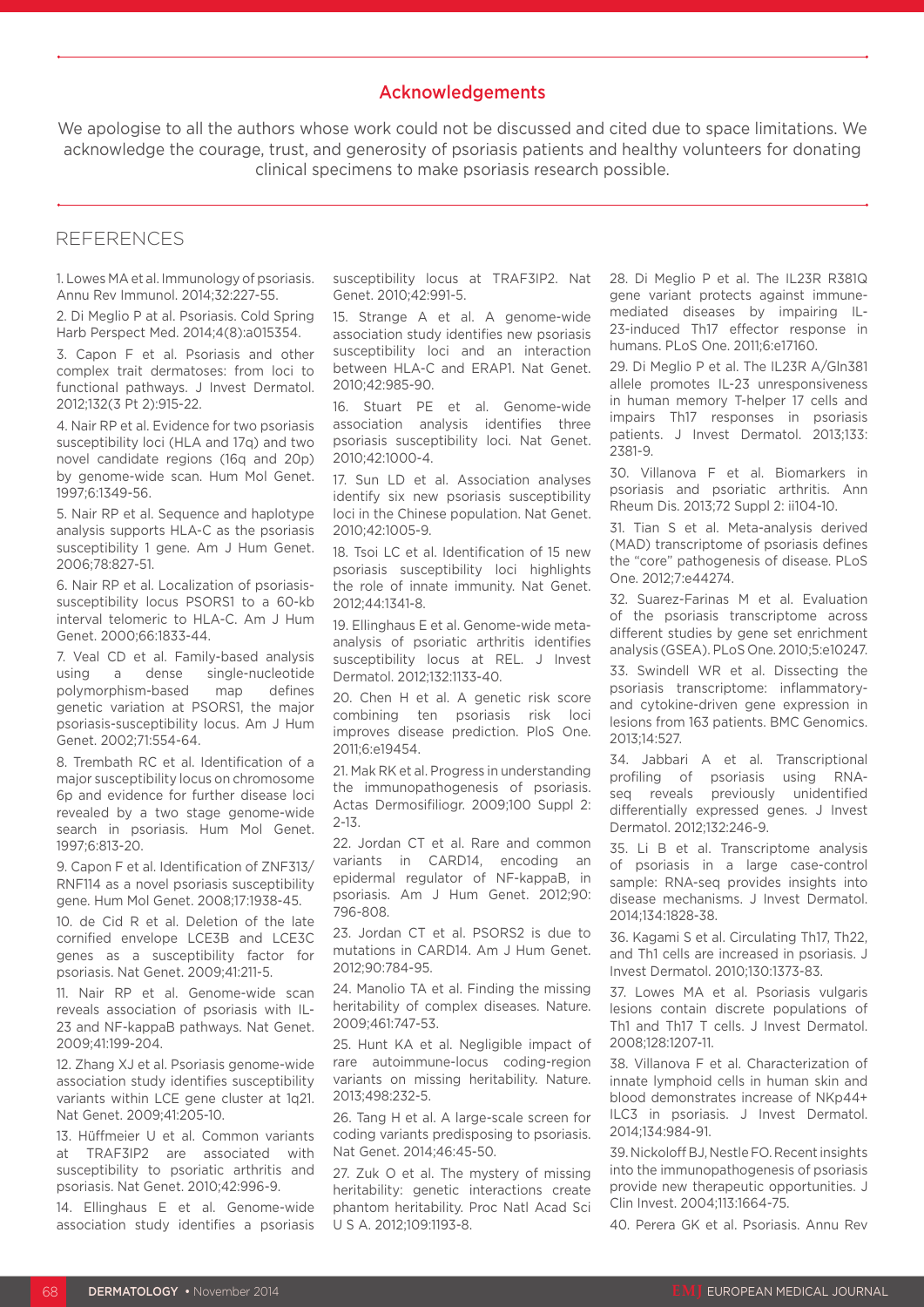#### Acknowledgements

We apologise to all the authors whose work could not be discussed and cited due to space limitations. We acknowledge the courage, trust, and generosity of psoriasis patients and healthy volunteers for donating clinical specimens to make psoriasis research possible.

### **REFERENCES**

1. Lowes MA et al. Immunology of psoriasis. Annu Rev Immunol. 2014;32:227-55.

2. Di Meglio P at al. Psoriasis. Cold Spring Harb Perspect Med. 2014;4(8):a015354.

3. Capon F et al. Psoriasis and other complex trait dermatoses: from loci to functional pathways. J Invest Dermatol. 2012;132(3 Pt 2):915-22.

4. Nair RP et al. Evidence for two psoriasis susceptibility loci (HLA and 17q) and two novel candidate regions (16q and 20p) by genome-wide scan. Hum Mol Genet. 1997;6:1349-56.

5. Nair RP et al. Sequence and haplotype analysis supports HLA-C as the psoriasis susceptibility 1 gene. Am J Hum Genet. 2006;78:827-51.

6. Nair RP et al. Localization of psoriasissusceptibility locus PSORS1 to a 60-kb interval telomeric to HLA-C. Am J Hum Genet. 2000;66:1833-44.

7. Veal CD et al. Family-based analysis using a dense single-nucleotide polymorphism-based map defines genetic variation at PSORS1, the major psoriasis-susceptibility locus. Am J Hum Genet. 2002;71:554-64.

8. Trembath RC et al. Identification of a major susceptibility locus on chromosome 6p and evidence for further disease loci revealed by a two stage genome-wide search in psoriasis. Hum Mol Genet. 1997;6:813-20.

9. Capon F et al. Identification of ZNF313/ RNF114 as a novel psoriasis susceptibility gene. Hum Mol Genet. 2008;17:1938-45.

10. de Cid R et al. Deletion of the late cornified envelope LCE3B and LCE3C genes as a susceptibility factor for psoriasis. Nat Genet. 2009;41:211-5.

11. Nair RP et al. Genome-wide scan reveals association of psoriasis with IL-23 and NF-kappaB pathways. Nat Genet. 2009;41:199-204.

12. Zhang XJ et al. Psoriasis genome-wide association study identifies susceptibility variants within LCE gene cluster at 1q21. Nat Genet. 2009;41:205-10.

13. Hüffmeier U et al. Common variants at TRAF3IP2 are associated with susceptibility to psoriatic arthritis and psoriasis. Nat Genet. 2010;42:996-9.

14. Ellinghaus E et al. Genome-wide association study identifies a psoriasis susceptibility locus at TRAF3IP2. Nat Genet. 2010;42:991-5.

15. Strange A et al. A genome-wide association study identifies new psoriasis susceptibility loci and an interaction between HLA-C and ERAP1. Nat Genet. 2010;42:985-90.

16. Stuart PE et al. Genome-wide association analysis identifies three psoriasis susceptibility loci. Nat Genet. 2010;42:1000-4.

17. Sun LD et al. Association analyses identify six new psoriasis susceptibility loci in the Chinese population. Nat Genet. 2010;42:1005-9.

18. Tsoi LC et al. Identification of 15 new psoriasis susceptibility loci highlights the role of innate immunity. Nat Genet. 2012;44:1341-8.

19. Ellinghaus E et al. Genome-wide metaanalysis of psoriatic arthritis identifies susceptibility locus at REL. J Invest Dermatol. 2012;132:1133-40.

20. Chen H et al. A genetic risk score combining ten psoriasis risk loci improves disease prediction. PloS One. 2011;6:e19454.

21. Mak RK et al. Progress in understanding the immunopathogenesis of psoriasis. Actas Dermosifiliogr. 2009;100 Suppl 2: 2-13.

22. Jordan CT et al. Rare and common variants in CARD14, encoding an epidermal regulator of NF-kappaB, in psoriasis. Am J Hum Genet. 2012;90: 796-808.

23. Jordan CT et al. PSORS2 is due to mutations in CARD14. Am J Hum Genet. 2012;90:784-95.

24. Manolio TA et al. Finding the missing heritability of complex diseases. Nature. 2009;461:747-53.

25. Hunt KA et al. Negligible impact of rare autoimmune-locus coding-region variants on missing heritability. Nature. 2013;498:232-5.

26. Tang H et al. A large-scale screen for coding variants predisposing to psoriasis. Nat Genet. 2014;46:45-50.

27. Zuk O et al. The mystery of missing heritability: genetic interactions create phantom heritability. Proc Natl Acad Sci U S A. 2012;109:1193-8.

28. Di Meglio P et al. The IL23R R381Q gene variant protects against immunemediated diseases by impairing IL-23-induced Th17 effector response in humans. PLoS One. 2011;6:e17160.

29. Di Meglio P et al. The IL23R A/Gln381 allele promotes IL-23 unresponsiveness in human memory T-helper 17 cells and impairs Th17 responses in psoriasis patients. J Invest Dermatol. 2013;133: 2381-9.

30. Villanova F et al. Biomarkers in psoriasis and psoriatic arthritis. Ann Rheum Dis. 2013;72 Suppl 2: ii104-10.

31. Tian S et al. Meta-analysis derived (MAD) transcriptome of psoriasis defines the "core" pathogenesis of disease. PLoS One. 2012;7:e44274.

32. Suarez-Farinas M et al. Evaluation of the psoriasis transcriptome across different studies by gene set enrichment analysis (GSEA). PLoS One. 2010;5:e10247.

33. Swindell WR et al. Dissecting the psoriasis transcriptome: inflammatoryand cytokine-driven gene expression in lesions from 163 patients. BMC Genomics. 2013;14:527.

34. Jabbari A et al. Transcriptional profiling of psoriasis using RNAseq reveals previously unidentified differentially expressed genes. J Invest Dermatol. 2012;132:246-9.

35. Li B et al. Transcriptome analysis of psoriasis in a large case-control sample: RNA-seq provides insights into disease mechanisms. J Invest Dermatol. 2014;134:1828-38.

36. Kagami S et al. Circulating Th17, Th22, and Th1 cells are increased in psoriasis. J Invest Dermatol. 2010;130:1373-83.

37. Lowes MA et al. Psoriasis vulgaris lesions contain discrete populations of Th1 and Th17 T cells. J Invest Dermatol. 2008;128:1207-11.

38. Villanova F et al. Characterization of innate lymphoid cells in human skin and blood demonstrates increase of NKp44+ ILC3 in psoriasis. J Invest Dermatol. 2014;134:984-91.

39. Nickoloff BJ, Nestle FO. Recent insights into the immunopathogenesis of psoriasis provide new therapeutic opportunities. J Clin Invest. 2004;113:1664-75.

40. Perera GK et al. Psoriasis. Annu Rev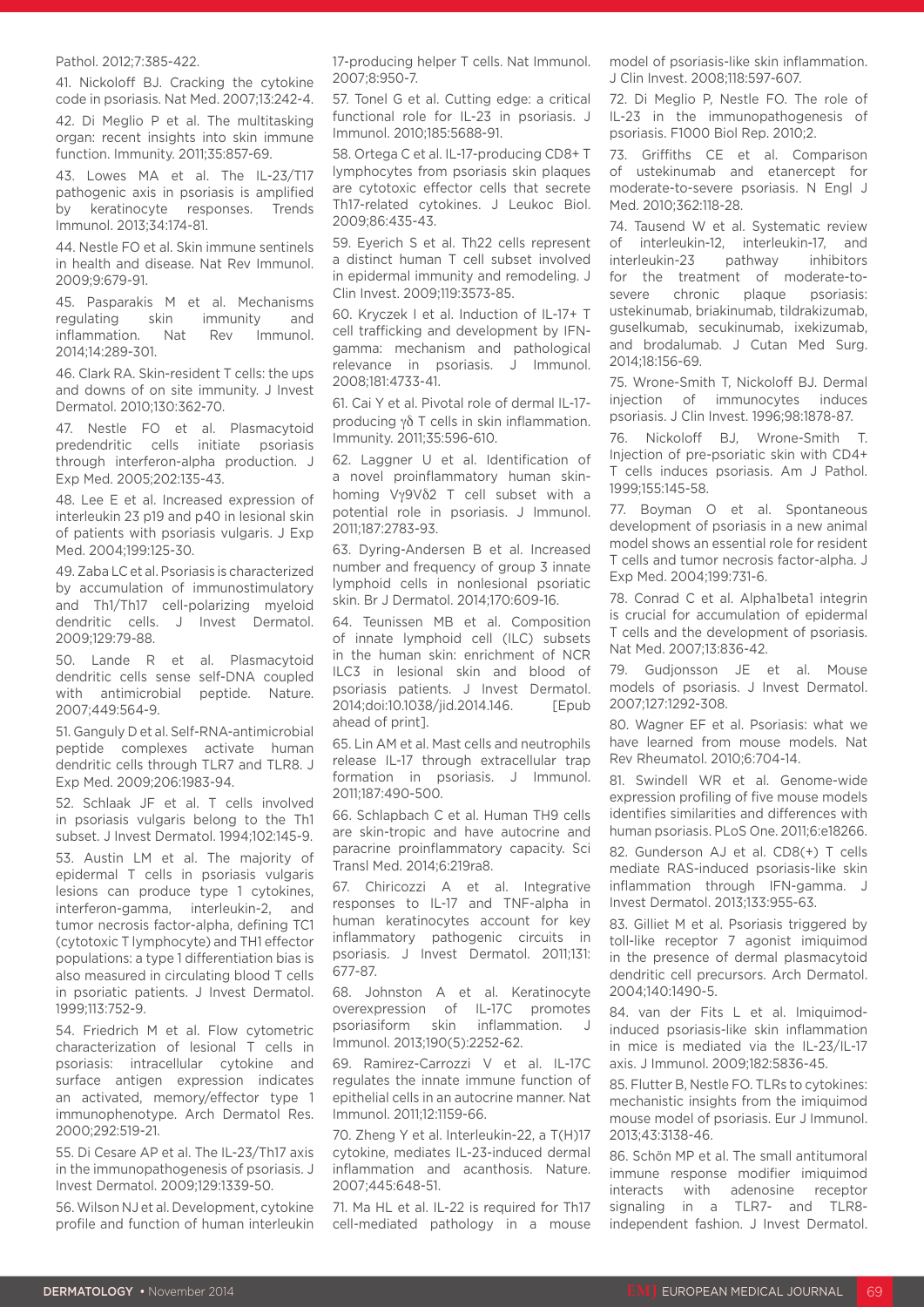#### Pathol. 2012;7:385-422.

41. Nickoloff BJ. Cracking the cytokine code in psoriasis. Nat Med. 2007;13:242-4.

42. Di Meglio P et al. The multitasking organ: recent insights into skin immune function. Immunity. 2011;35:857-69.

43. Lowes MA et al. The IL-23/T17 pathogenic axis in psoriasis is amplified by keratinocyte responses. Trends Immunol. 2013;34:174-81.

44. Nestle FO et al. Skin immune sentinels in health and disease. Nat Rev Immunol. 2009;9:679-91.

45. Pasparakis M et al. Mechanisms regulating skin immunity and inflammation. Nat Rev Immunol. 2014;14:289-301.

46. Clark RA. Skin-resident T cells: the ups and downs of on site immunity. J Invest Dermatol. 2010;130:362-70.

47. Nestle FO et al. Plasmacytoid predendritic cells initiate psoriasis through interferon-alpha production. J Exp Med. 2005;202:135-43.

48. Lee E et al. Increased expression of interleukin 23 p19 and p40 in lesional skin of patients with psoriasis vulgaris. J Exp Med. 2004;199:125-30.

49. Zaba LC et al. Psoriasis is characterized by accumulation of immunostimulatory and Th1/Th17 cell-polarizing myeloid dendritic cells. J Invest Dermatol. 2009;129:79-88.

50. Lande R et al. Plasmacytoid dendritic cells sense self-DNA coupled with antimicrobial peptide. Nature. 2007;449:564-9.

51. Ganguly D et al. Self-RNA-antimicrobial peptide complexes activate human dendritic cells through TLR7 and TLR8. J Exp Med. 2009;206:1983-94.

52. Schlaak JF et al. T cells involved in psoriasis vulgaris belong to the Th1 subset. J Invest Dermatol. 1994;102:145-9.

53. Austin LM et al. The majority of epidermal T cells in psoriasis vulgaris lesions can produce type 1 cytokines, interferon-gamma, interleukin-2, and tumor necrosis factor-alpha, defining TC1 (cytotoxic T lymphocyte) and TH1 effector populations: a type 1 differentiation bias is also measured in circulating blood T cells in psoriatic patients. J Invest Dermatol. 1999;113:752-9.

54. Friedrich M et al. Flow cytometric characterization of lesional T cells in psoriasis: intracellular cytokine and surface antigen expression indicates an activated, memory/effector type 1 immunophenotype. Arch Dermatol Res. 2000;292:519-21.

55. Di Cesare AP et al. The IL-23/Th17 axis in the immunopathogenesis of psoriasis. J Invest Dermatol. 2009;129:1339-50.

56. Wilson NJ et al. Development, cytokine profile and function of human interleukin

17-producing helper T cells. Nat Immunol. 2007;8:950-7.

57. Tonel G et al. Cutting edge: a critical functional role for IL-23 in psoriasis. J Immunol. 2010;185:5688-91.

58. Ortega C et al. IL-17-producing CD8+ T lymphocytes from psoriasis skin plaques are cytotoxic effector cells that secrete Th17-related cytokines. J Leukoc Biol. 2009;86:435-43.

59. Eyerich S et al. Th22 cells represent a distinct human T cell subset involved in epidermal immunity and remodeling. J Clin Invest. 2009;119:3573-85.

60. Kryczek I et al. Induction of IL-17+ T cell trafficking and development by IFNgamma: mechanism and pathological relevance in psoriasis. J Immunol. 2008;181:4733-41.

61. Cai Y et al. Pivotal role of dermal IL-17 producing γδ T cells in skin inflammation. Immunity. 2011;35:596-610.

62. Laggner U et al. Identification of a novel proinflammatory human skinhoming Vγ9Vδ2 T cell subset with a potential role in psoriasis. J Immunol. 2011;187:2783-93.

63. Dyring-Andersen B et al. Increased number and frequency of group 3 innate lymphoid cells in nonlesional psoriatic skin. Br J Dermatol. 2014;170:609-16.

64. Teunissen MB et al. Composition of innate lymphoid cell (ILC) subsets in the human skin: enrichment of NCR ILC3 in lesional skin and blood of psoriasis patients. J Invest Dermatol. 2014;doi:10.1038/jid.2014.146. [Epub ahead of print].

65. Lin AM et al. Mast cells and neutrophils release IL-17 through extracellular trap formation in psoriasis. J Immunol. 2011;187:490-500.

66. Schlapbach C et al. Human TH9 cells are skin-tropic and have autocrine and paracrine proinflammatory capacity. Sci Transl Med. 2014;6:219ra8.

67. Chiricozzi A et al. Integrative responses to IL-17 and TNF-alpha in human keratinocytes account for key inflammatory pathogenic circuits in psoriasis. J Invest Dermatol. 2011;131: 677-87.

68. Johnston A et al. Keratinocyte overexpression of IL-17C promotes psoriasiform skin inflammation. J Immunol. 2013;190(5):2252-62.

69. Ramirez-Carrozzi V et al. IL-17C regulates the innate immune function of epithelial cells in an autocrine manner. Nat Immunol. 2011;12:1159-66.

70. Zheng Y et al. Interleukin-22, a T(H)17 cytokine, mediates IL-23-induced dermal inflammation and acanthosis. Nature. 2007;445:648-51.

71. Ma HL et al. IL-22 is required for Th17 cell-mediated pathology in a mouse model of psoriasis-like skin inflammation. J Clin Invest. 2008;118:597-607.

72. Di Meglio P, Nestle FO. The role of IL-23 in the immunopathogenesis of psoriasis. F1000 Biol Rep. 2010;2.

73. Griffiths CE et al. Comparison of ustekinumab and etanercept for moderate-to-severe psoriasis. N Engl J Med. 2010;362:118-28.

74. Tausend W et al. Systematic review of interleukin-12, interleukin-17, and interleukin-23 pathway inhibitors for the treatment of moderate-tosevere chronic plaque psoriasis: ustekinumab, briakinumab, tildrakizumab, guselkumab, secukinumab, ixekizumab, and brodalumab. J Cutan Med Surg. 2014;18:156-69.

75. Wrone-Smith T, Nickoloff BJ. Dermal injection of immunocytes induces psoriasis. J Clin Invest. 1996;98:1878-87.

76. Nickoloff BJ, Wrone-Smith T. Injection of pre-psoriatic skin with CD4+ T cells induces psoriasis. Am J Pathol. 1999;155:145-58.

77. Boyman O et al. Spontaneous development of psoriasis in a new animal model shows an essential role for resident T cells and tumor necrosis factor-alpha. J Exp Med. 2004;199:731-6.

78. Conrad C et al. Alpha1beta1 integrin is crucial for accumulation of epidermal T cells and the development of psoriasis. Nat Med. 2007;13:836-42.

79. Gudjonsson JE et al. Mouse models of psoriasis. J Invest Dermatol. 2007;127:1292-308.

80. Wagner EF et al. Psoriasis: what we have learned from mouse models. Nat Rev Rheumatol. 2010;6:704-14.

81. Swindell WR et al. Genome-wide expression profiling of five mouse models identifies similarities and differences with human psoriasis. PLoS One. 2011;6:e18266.

82. Gunderson AJ et al. CD8(+) T cells mediate RAS-induced psoriasis-like skin inflammation through IFN-gamma. J Invest Dermatol. 2013;133:955-63.

83. Gilliet M et al. Psoriasis triggered by toll-like receptor 7 agonist imiquimod in the presence of dermal plasmacytoid dendritic cell precursors. Arch Dermatol. 2004;140:1490-5.

84. van der Fits L et al. Imiquimodinduced psoriasis-like skin inflammation in mice is mediated via the IL-23/IL-17 axis. J Immunol. 2009;182:5836-45.

85. Flutter B, Nestle FO. TLRs to cytokines: mechanistic insights from the imiquimod mouse model of psoriasis. Eur J Immunol. 2013;43:3138-46.

86. Schön MP et al. The small antitumoral immune response modifier imiquimod interacts with adenosine receptor signaling in a TLR7- and TLR8 independent fashion. J Invest Dermatol.